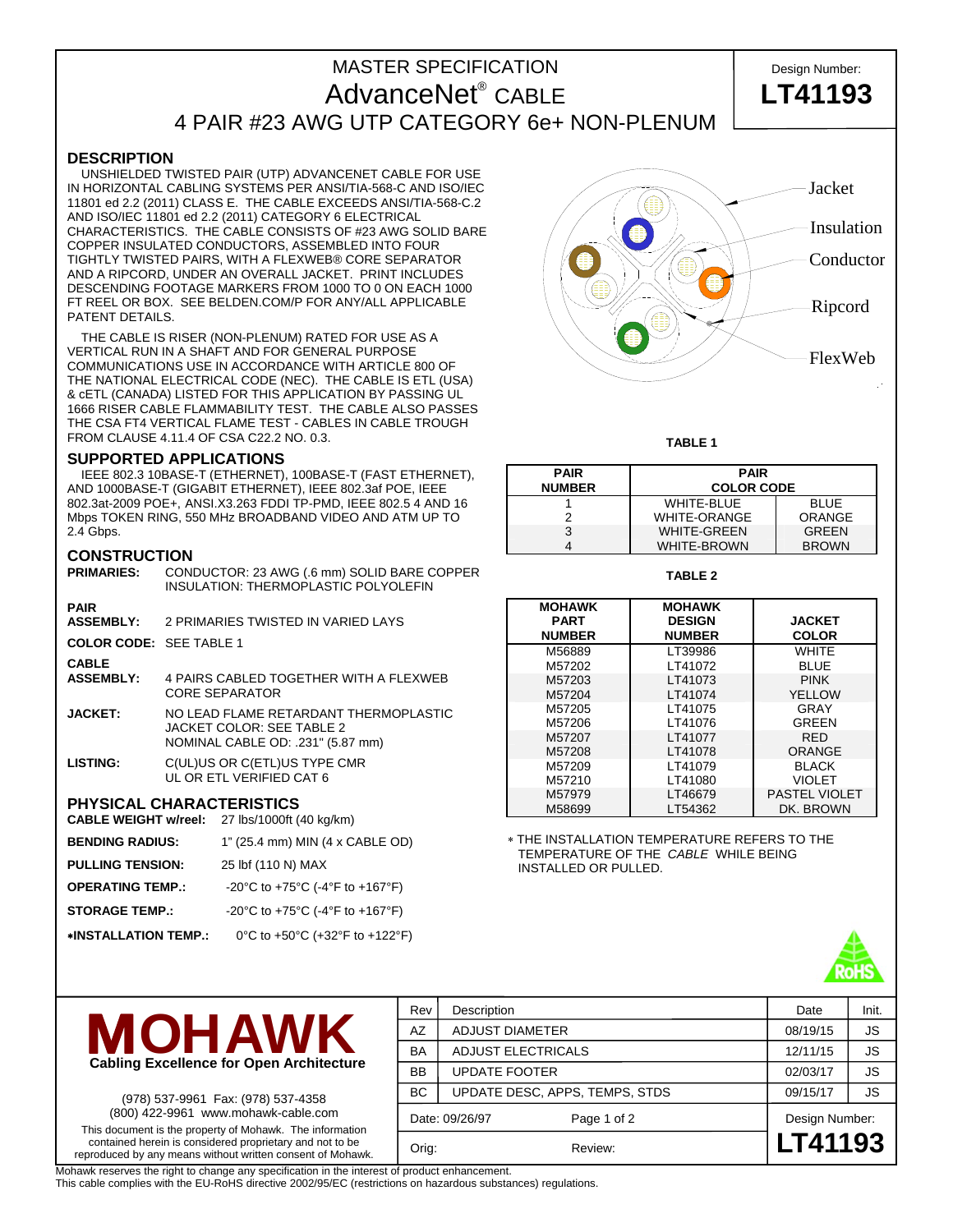# MASTER SPECIFICATION Design Number: AdvanceNet<sup>®</sup> CABLE 4 PAIR #23 AWG UTP CATEGORY 6e+ NON-PLENUM

#### **DESCRIPTION**

 UNSHIELDED TWISTED PAIR (UTP) ADVANCENET CABLE FOR USE IN HORIZONTAL CABLING SYSTEMS PER ANSI/TIA-568-C AND ISO/IEC 11801 ed 2.2 (2011) CLASS E. THE CABLE EXCEEDS ANSI/TIA-568-C.2 AND ISO/IEC 11801 ed 2.2 (2011) CATEGORY 6 ELECTRICAL CHARACTERISTICS. THE CABLE CONSISTS OF #23 AWG SOLID BARE COPPER INSULATED CONDUCTORS, ASSEMBLED INTO FOUR TIGHTLY TWISTED PAIRS, WITH A FLEXWEB® CORE SEPARATOR AND A RIPCORD, UNDER AN OVERALL JACKET. PRINT INCLUDES DESCENDING FOOTAGE MARKERS FROM 1000 TO 0 ON EACH 1000 FT REEL OR BOX. SEE BELDEN.COM/P FOR ANY/ALL APPLICABLE PATENT DETAILS.

 THE CABLE IS RISER (NON-PLENUM) RATED FOR USE AS A VERTICAL RUN IN A SHAFT AND FOR GENERAL PURPOSE COMMUNICATIONS USE IN ACCORDANCE WITH ARTICLE 800 OF THE NATIONAL ELECTRICAL CODE (NEC). THE CABLE IS ETL (USA) & cETL (CANADA) LISTED FOR THIS APPLICATION BY PASSING UL 1666 RISER CABLE FLAMMABILITY TEST. THE CABLE ALSO PASSES THE CSA FT4 VERTICAL FLAME TEST - CABLES IN CABLE TROUGH FROM CLAUSE 4.11.4 OF CSA C22.2 NO. 0.3.

#### **SUPPORTED APPLICATIONS**

 IEEE 802.3 10BASE-T (ETHERNET), 100BASE-T (FAST ETHERNET), AND 1000BASE-T (GIGABIT ETHERNET), IEEE 802.3af POE, IEEE 802.3at-2009 POE+, ANSI.X3.263 FDDI TP-PMD, IEEE 802.5 4 AND 16 Mbps TOKEN RING, 550 MHz BROADBAND VIDEO AND ATM UP TO 2.4 Gbps.

### **CONSTRUCTION**

|                                | <b>PRIMARIES:</b> CONDUCTOR: 23 AWG (.6 mm) SOLID BARE COPPER<br>INSULATION: THERMOPLASTIC POLYOLEFIN   |  |
|--------------------------------|---------------------------------------------------------------------------------------------------------|--|
| <b>PAIR</b>                    |                                                                                                         |  |
| <b>ASSEMBLY:</b>               | 2 PRIMARIES TWISTED IN VARIED LAYS                                                                      |  |
| <b>COLOR CODE: SEE TABLE 1</b> |                                                                                                         |  |
| <b>CABLE</b>                   |                                                                                                         |  |
| <b>ASSEMBLY:</b>               | 4 PAIRS CABLED TOGETHER WITH A FLEXWEB<br>CORE SEPARATOR                                                |  |
| <b>JACKET:</b>                 | NO LEAD FLAME RETARDANT THERMOPLASTIC<br>JACKET COLOR: SEE TABLE 2<br>NOMINAL CABLE OD: .231" (5.87 mm) |  |
| LISTING:                       | C(UL)US OR C(ETL)US TYPE CMR<br>UL OR ETL VERIFIED CAT 6                                                |  |
|                                | <b>PHYSICAL CHARACTERISTICS</b><br>CABLE WEIGHT w/reel: 27 lbs/1000ft (40 kg/km)                        |  |
| <b>BENDING RADIUS:</b>         | 1" (25.4 mm) MIN (4 x CABLE OD)                                                                         |  |

| <b>PULLING TENSION:</b> | 25 lbf (110 N) MAX              |
|-------------------------|---------------------------------|
| <b>OPERATING TEMP.:</b> | -20°C to +75°C (-4°F to +167°F) |
| <b>STORAGE TEMP.:</b>   | -20°C to +75°C (-4°F to +167°F) |
| *INSTALLATION TEMP.:    | 0°C to +50°C (+32°F to +122°F)  |



CABLE **LT41193**

**TABLE 1** 

| <b>PAIR</b>   | <b>PAIR</b>         |               |  |  |  |  |
|---------------|---------------------|---------------|--|--|--|--|
| <b>NUMBER</b> | <b>COLOR CODE</b>   |               |  |  |  |  |
|               | <b>WHITE-BLUE</b>   | <b>BLUE</b>   |  |  |  |  |
|               | <b>WHITE-ORANGE</b> | <b>ORANGE</b> |  |  |  |  |
| 3             | <b>WHITE-GREEN</b>  | <b>GREEN</b>  |  |  |  |  |
|               | <b>WHITE-BROWN</b>  | <b>BROWN</b>  |  |  |  |  |

**TABLE 2** 

| <b>MOHAWK</b><br><b>PART</b><br><b>NUMBER</b> | <b>MOHAWK</b><br><b>DESIGN</b><br><b>NUMBER</b> | <b>JACKET</b><br><b>COLOR</b> |
|-----------------------------------------------|-------------------------------------------------|-------------------------------|
| M56889                                        | LT39986                                         | WHITE                         |
| M57202                                        | LT41072                                         | <b>BLUE</b>                   |
| M57203                                        | LT41073                                         | <b>PINK</b>                   |
| M57204                                        | LT41074                                         | YELLOW                        |
| M57205                                        | LT41075                                         | GRAY                          |
| M57206                                        | LT41076                                         | GREEN                         |
| M57207                                        | LT41077                                         | <b>RED</b>                    |
| M57208                                        | LT41078                                         | ORANGE                        |
| M57209                                        | LT41079                                         | <b>BLACK</b>                  |
| M57210                                        | LT41080                                         | <b>VIOLET</b>                 |
| M57979                                        | LT46679                                         | <b>PASTEL VIOLET</b>          |
| M58699                                        | LT54362                                         | DK. BROWN                     |

∗ THE INSTALLATION TEMPERATURE REFERS TO THE TEMPERATURE OF THE *CABLE* WHILE BEING INSTALLED OR PULLED.





(978) 537-9961 Fax: (978) 537-4358 (800) 422-9961 www.mohawk-cable.com This document is the property of Mohawk. The information contained herein is considered proprietary and not to be reproduced by any means without written consent of Mohawk. Rev Description **Description Date** Init. AZ ADJUST DIAMETER 08/19/15 JS BA ADJUST ELECTRICALS 12/11/15 JS BB UPDATE FOOTER 2/03/17 S BC UPDATE DESC, APPS, TEMPS, STDS | 09/15/17 | JS Date: 09/26/97 Page 1 of 2 Design Number: Orig: Review: **LT41193**

Mohawk reserves the right to change any specification in the interest of product enhancement.

This cable complies with the EU-RoHS directive 2002/95/EC (restrictions on hazardous substances) regulations.